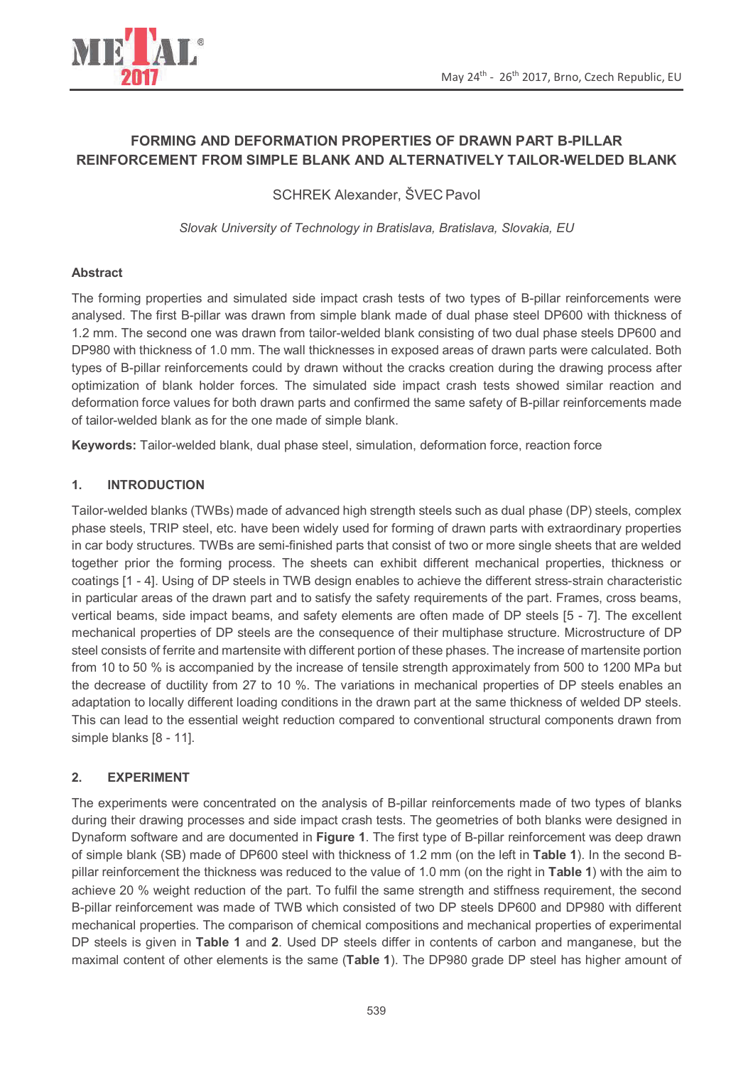

# **FORMING AND DEFORMATION PROPERTIES OF DRAWN PART B-PILLAR REINFORCEMENT FROM SIMPLE BLANK AND ALTERNATIVELY TAILOR-WELDED BLANK**

SCHREK Alexander, ŠVEC Pavol

*Slovak University of Technology in Bratislava, Bratislava, Slovakia, EU* 

# **Abstract**

The forming properties and simulated side impact crash tests of two types of B-pillar reinforcements were analysed. The first B-pillar was drawn from simple blank made of dual phase steel DP600 with thickness of 1.2 mm. The second one was drawn from tailor-welded blank consisting of two dual phase steels DP600 and DP980 with thickness of 1.0 mm. The wall thicknesses in exposed areas of drawn parts were calculated. Both types of B-pillar reinforcements could by drawn without the cracks creation during the drawing process after optimization of blank holder forces. The simulated side impact crash tests showed similar reaction and deformation force values for both drawn parts and confirmed the same safety of B-pillar reinforcements made of tailor-welded blank as for the one made of simple blank.

**Keywords:** Tailor-welded blank, dual phase steel, simulation, deformation force, reaction force

# **1. INTRODUCTION**

Tailor-welded blanks (TWBs) made of advanced high strength steels such as dual phase (DP) steels, complex phase steels, TRIP steel, etc. have been widely used for forming of drawn parts with extraordinary properties in car body structures. TWBs are semi-finished parts that consist of two or more single sheets that are welded together prior the forming process. The sheets can exhibit different mechanical properties, thickness or coatings [1 - 4]. Using of DP steels in TWB design enables to achieve the different stress-strain characteristic in particular areas of the drawn part and to satisfy the safety requirements of the part. Frames, cross beams, vertical beams, side impact beams, and safety elements are often made of DP steels [5 - 7]. The excellent mechanical properties of DP steels are the consequence of their multiphase structure. Microstructure of DP steel consists of ferrite and martensite with different portion of these phases. The increase of martensite portion from 10 to 50 % is accompanied by the increase of tensile strength approximately from 500 to 1200 MPa but the decrease of ductility from 27 to 10 %. The variations in mechanical properties of DP steels enables an adaptation to locally different loading conditions in the drawn part at the same thickness of welded DP steels. This can lead to the essential weight reduction compared to conventional structural components drawn from simple blanks [8 - 11].

# **2. EXPERIMENT**

The experiments were concentrated on the analysis of B-pillar reinforcements made of two types of blanks during their drawing processes and side impact crash tests. The geometries of both blanks were designed in Dynaform software and are documented in **Figure 1**. The first type of B-pillar reinforcement was deep drawn of simple blank (SB) made of DP600 steel with thickness of 1.2 mm (on the left in **Table 1**). In the second Bpillar reinforcement the thickness was reduced to the value of 1.0 mm (on the right in **Table 1**) with the aim to achieve 20 % weight reduction of the part. To fulfil the same strength and stiffness requirement, the second B-pillar reinforcement was made of TWB which consisted of two DP steels DP600 and DP980 with different mechanical properties. The comparison of chemical compositions and mechanical properties of experimental DP steels is given in **Table 1** and **2**. Used DP steels differ in contents of carbon and manganese, but the maximal content of other elements is the same (**Table 1**). The DP980 grade DP steel has higher amount of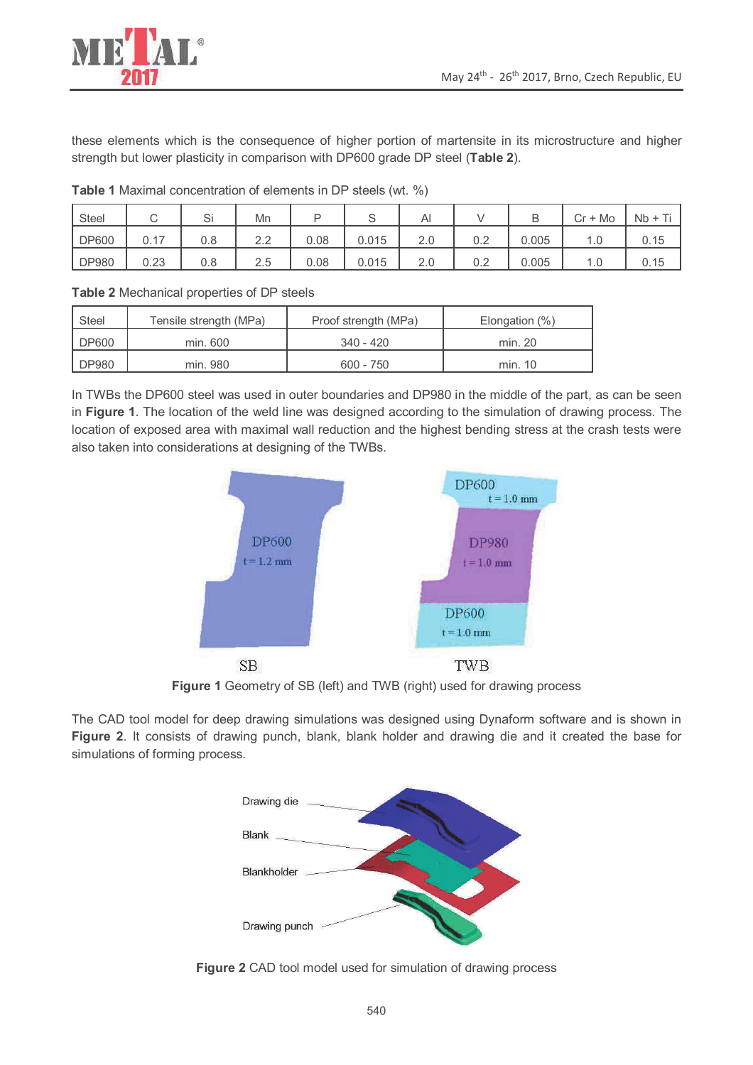



these elements which is the consequence of higher portion of martensite in its microstructure and higher strength but lower plasticity in comparison with DP600 grade DP steel (**Table 2**).

| Steel        | ◡            | $\sim$<br>ات | Mn                                        |      | $\check{ }$ | Al  |     |       | $\cap$ r +<br>Mo<br>اب | $Nb +$ |
|--------------|--------------|--------------|-------------------------------------------|------|-------------|-----|-----|-------|------------------------|--------|
| <b>DP600</b> | 0.17<br>∪. ⊢ | 0.8          | $\cap$<br>$\mathcal{L} \cdot \mathcal{L}$ | 0.08 | 0.015       | 2.0 | 0.2 | 0.005 | 1.U                    | 0.15   |
| <b>DP980</b> | 0.23         | 0.8          | 2.5                                       | 0.08 | 0.015       | 2.0 | 0.2 | 0.005 | л.<br>1.0              | 0.15   |

**Table 1** Maximal concentration of elements in DP steels (wt. %)

**Table 2** Mechanical properties of DP steels

| Steel        | Tensile strength (MPa) | Proof strength (MPa) | Elongation (%) |
|--------------|------------------------|----------------------|----------------|
| <b>DP600</b> | min. 600               | 340 - 420            | min. 20        |
| <b>DP980</b> | min. 980               | $600 - 750$          | min. 10        |

In TWBs the DP600 steel was used in outer boundaries and DP980 in the middle of the part, as can be seen in **Figure 1**. The location of the weld line was designed according to the simulation of drawing process. The location of exposed area with maximal wall reduction and the highest bending stress at the crash tests were also taken into considerations at designing of the TWBs.



**Figure 1** Geometry of SB (left) and TWB (right) used for drawing process

The CAD tool model for deep drawing simulations was designed using Dynaform software and is shown in **Figure 2**. It consists of drawing punch, blank, blank holder and drawing die and it created the base for simulations of forming process.



**Figure 2** CAD tool model used for simulation of drawing process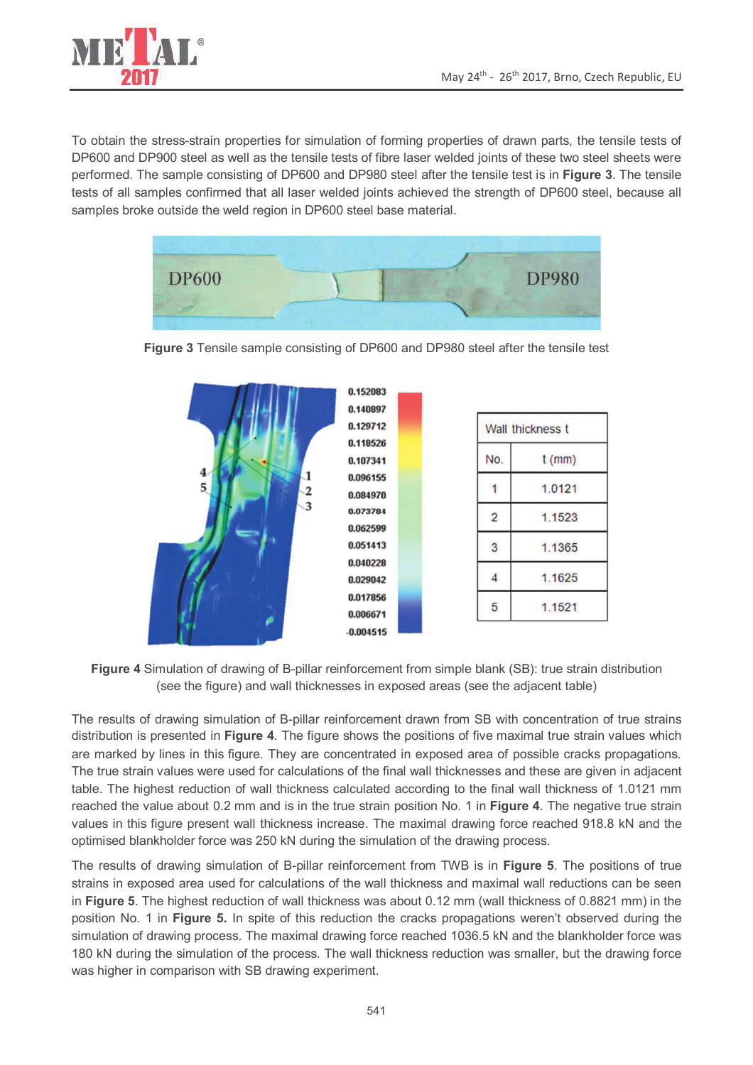

To obtain the stress-strain properties for simulation of forming properties of drawn parts, the tensile tests of DP600 and DP900 steel as well as the tensile tests of fibre laser welded joints of these two steel sheets were performed. The sample consisting of DP600 and DP980 steel after the tensile test is in **Figure 3**. The tensile tests of all samples confirmed that all laser welded joints achieved the strength of DP600 steel, because all samples broke outside the weld region in DP600 steel base material.





**Figure 3** Tensile sample consisting of DP600 and DP980 steel after the tensile test

**Figure 4** Simulation of drawing of B-pillar reinforcement from simple blank (SB): true strain distribution (see the figure) and wall thicknesses in exposed areas (see the adjacent table)

The results of drawing simulation of B-pillar reinforcement drawn from SB with concentration of true strains distribution is presented in **Figure 4**. The figure shows the positions of five maximal true strain values which are marked by lines in this figure. They are concentrated in exposed area of possible cracks propagations. The true strain values were used for calculations of the final wall thicknesses and these are given in adjacent table. The highest reduction of wall thickness calculated according to the final wall thickness of 1.0121 mm reached the value about 0.2 mm and is in the true strain position No. 1 in **Figure 4**. The negative true strain values in this figure present wall thickness increase. The maximal drawing force reached 918.8 kN and the optimised blankholder force was 250 kN during the simulation of the drawing process.

The results of drawing simulation of B-pillar reinforcement from TWB is in **Figure 5**. The positions of true strains in exposed area used for calculations of the wall thickness and maximal wall reductions can be seen in **Figure 5**. The highest reduction of wall thickness was about 0.12 mm (wall thickness of 0.8821 mm) in the position No. 1 in **Figure 5.** In spite of this reduction the cracks propagations weren't observed during the simulation of drawing process. The maximal drawing force reached 1036.5 kN and the blankholder force was 180 kN during the simulation of the process. The wall thickness reduction was smaller, but the drawing force was higher in comparison with SB drawing experiment.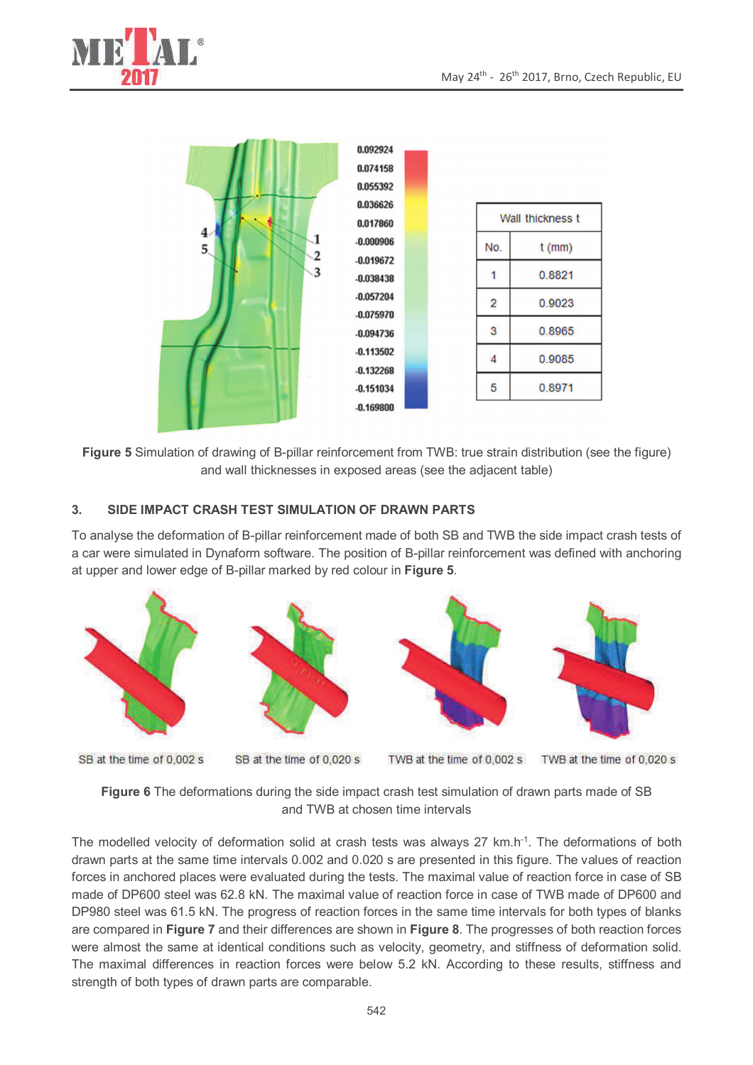



**Figure 5** Simulation of drawing of B-pillar reinforcement from TWB: true strain distribution (see the figure) and wall thicknesses in exposed areas (see the adjacent table)

### **3. SIDE IMPACT CRASH TEST SIMULATION OF DRAWN PARTS**

To analyse the deformation of B-pillar reinforcement made of both SB and TWB the side impact crash tests of a car were simulated in Dynaform software. The position of B-pillar reinforcement was defined with anchoring at upper and lower edge of B-pillar marked by red colour in **Figure 5**.



SB at the time of 0.002 s

SB at the time of 0.020 s

TWB at the time of 0,002 s

TWB at the time of 0.020 s

**Figure 6** The deformations during the side impact crash test simulation of drawn parts made of SB and TWB at chosen time intervals

The modelled velocity of deformation solid at crash tests was always 27 km.h-1. The deformations of both drawn parts at the same time intervals 0.002 and 0.020 s are presented in this figure. The values of reaction forces in anchored places were evaluated during the tests. The maximal value of reaction force in case of SB made of DP600 steel was 62.8 kN. The maximal value of reaction force in case of TWB made of DP600 and DP980 steel was 61.5 kN. The progress of reaction forces in the same time intervals for both types of blanks are compared in **Figure 7** and their differences are shown in **Figure 8**. The progresses of both reaction forces were almost the same at identical conditions such as velocity, geometry, and stiffness of deformation solid. The maximal differences in reaction forces were below 5.2 kN. According to these results, stiffness and strength of both types of drawn parts are comparable.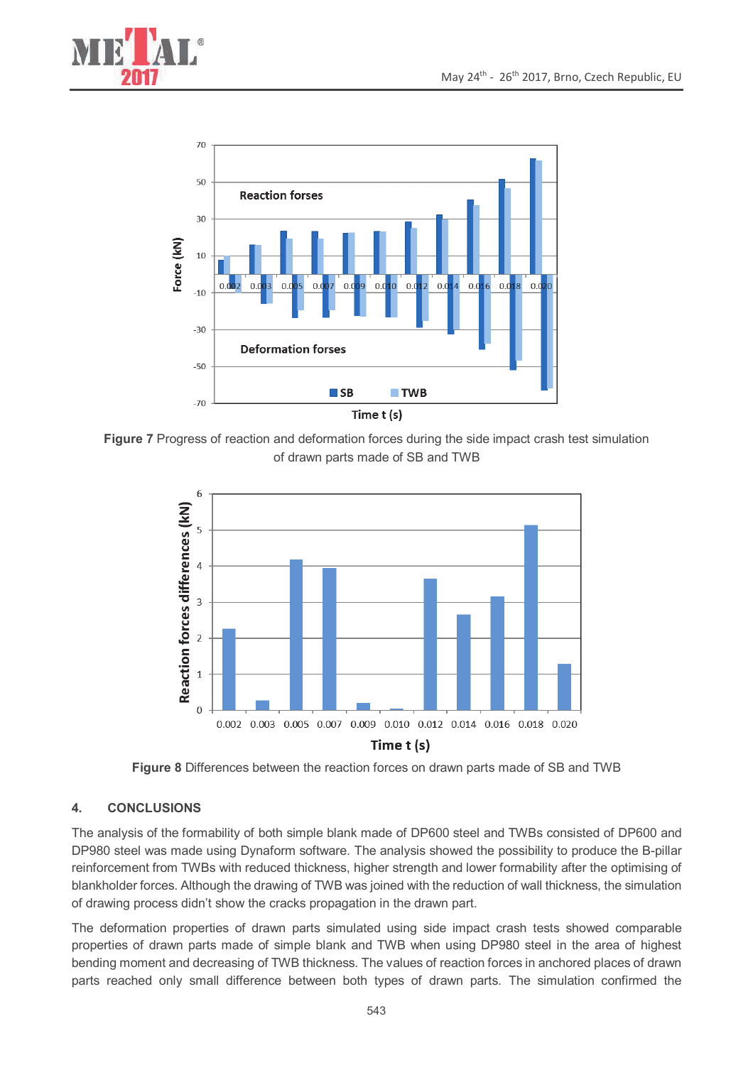



**Figure 7** Progress of reaction and deformation forces during the side impact crash test simulation of drawn parts made of SB and TWB



**Figure 8** Differences between the reaction forces on drawn parts made of SB and TWB

# **4. CONCLUSIONS**

The analysis of the formability of both simple blank made of DP600 steel and TWBs consisted of DP600 and DP980 steel was made using Dynaform software. The analysis showed the possibility to produce the B-pillar reinforcement from TWBs with reduced thickness, higher strength and lower formability after the optimising of blankholder forces. Although the drawing of TWB was joined with the reduction of wall thickness, the simulation of drawing process didn't show the cracks propagation in the drawn part.

The deformation properties of drawn parts simulated using side impact crash tests showed comparable properties of drawn parts made of simple blank and TWB when using DP980 steel in the area of highest bending moment and decreasing of TWB thickness. The values of reaction forces in anchored places of drawn parts reached only small difference between both types of drawn parts. The simulation confirmed the